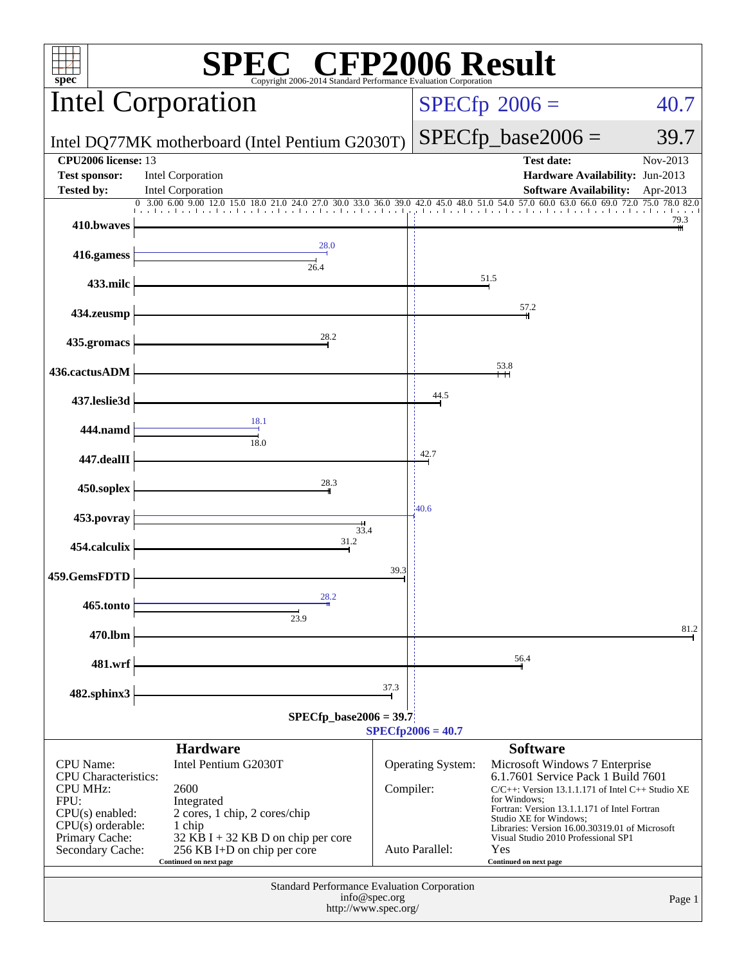| P2006 Result<br><b>E</b> CFI<br>$spec^*$<br>Copyright 2006-2014 Standard Performance Evaluation Corporation                                                  |                                                                                                                                                                                      |               |                                            |                                                                                                                                                                                                                                                                                                                                                   |                      |  |
|--------------------------------------------------------------------------------------------------------------------------------------------------------------|--------------------------------------------------------------------------------------------------------------------------------------------------------------------------------------|---------------|--------------------------------------------|---------------------------------------------------------------------------------------------------------------------------------------------------------------------------------------------------------------------------------------------------------------------------------------------------------------------------------------------------|----------------------|--|
|                                                                                                                                                              | <b>Intel Corporation</b>                                                                                                                                                             |               | $SPECfp^{\circ}2006 =$                     | 40.7                                                                                                                                                                                                                                                                                                                                              |                      |  |
|                                                                                                                                                              | Intel DQ77MK motherboard (Intel Pentium G2030T)                                                                                                                                      |               |                                            | $SPECfp\_base2006 =$                                                                                                                                                                                                                                                                                                                              | 39.7                 |  |
| <b>CPU2006</b> license: 13<br><b>Test sponsor:</b><br><b>Tested by:</b>                                                                                      | <b>Intel Corporation</b><br><b>Intel Corporation</b>                                                                                                                                 |               |                                            | <b>Test date:</b><br>Hardware Availability: Jun-2013<br><b>Software Availability:</b>                                                                                                                                                                                                                                                             | Nov-2013<br>Apr-2013 |  |
| 410.bwaves                                                                                                                                                   |                                                                                                                                                                                      |               |                                            |                                                                                                                                                                                                                                                                                                                                                   | 79.3                 |  |
| 416.gamess                                                                                                                                                   | 28.0                                                                                                                                                                                 |               |                                            |                                                                                                                                                                                                                                                                                                                                                   |                      |  |
| 433.milc                                                                                                                                                     | 26.4                                                                                                                                                                                 |               |                                            | 51.5                                                                                                                                                                                                                                                                                                                                              |                      |  |
| 434.zeusmp                                                                                                                                                   |                                                                                                                                                                                      |               |                                            | 57.2                                                                                                                                                                                                                                                                                                                                              |                      |  |
| 435.gromacs                                                                                                                                                  | 28.2                                                                                                                                                                                 |               |                                            |                                                                                                                                                                                                                                                                                                                                                   |                      |  |
| 436.cactusADM                                                                                                                                                |                                                                                                                                                                                      |               |                                            | 53.8                                                                                                                                                                                                                                                                                                                                              |                      |  |
| 437.leslie3d                                                                                                                                                 |                                                                                                                                                                                      |               | 44.5                                       |                                                                                                                                                                                                                                                                                                                                                   |                      |  |
| 444.namd                                                                                                                                                     | 18.1<br>18.0                                                                                                                                                                         |               |                                            |                                                                                                                                                                                                                                                                                                                                                   |                      |  |
| 447.dealII                                                                                                                                                   |                                                                                                                                                                                      | 42.7          |                                            |                                                                                                                                                                                                                                                                                                                                                   |                      |  |
| 450.soplex                                                                                                                                                   | 28.3                                                                                                                                                                                 |               |                                            |                                                                                                                                                                                                                                                                                                                                                   |                      |  |
| 453.povray                                                                                                                                                   | 33.4                                                                                                                                                                                 | 40.6          |                                            |                                                                                                                                                                                                                                                                                                                                                   |                      |  |
| 454.calculix                                                                                                                                                 | 31.2                                                                                                                                                                                 |               |                                            |                                                                                                                                                                                                                                                                                                                                                   |                      |  |
| 459.GemsFDTD                                                                                                                                                 | 28.2                                                                                                                                                                                 | 39.3          |                                            |                                                                                                                                                                                                                                                                                                                                                   |                      |  |
| 465.tonto                                                                                                                                                    | 23.9                                                                                                                                                                                 |               |                                            |                                                                                                                                                                                                                                                                                                                                                   | 81.2                 |  |
| 470.lbm                                                                                                                                                      |                                                                                                                                                                                      |               |                                            | 56.4                                                                                                                                                                                                                                                                                                                                              |                      |  |
| 481.wrf<br>482.sphinx3                                                                                                                                       |                                                                                                                                                                                      | 37.3          |                                            |                                                                                                                                                                                                                                                                                                                                                   |                      |  |
| $SPECfp\_base2006 = 39.7$<br>$SPECfp2006 = 40.7$                                                                                                             |                                                                                                                                                                                      |               |                                            |                                                                                                                                                                                                                                                                                                                                                   |                      |  |
|                                                                                                                                                              | <b>Hardware</b>                                                                                                                                                                      |               |                                            | <b>Software</b>                                                                                                                                                                                                                                                                                                                                   |                      |  |
| <b>CPU</b> Name:<br><b>CPU</b> Characteristics:<br><b>CPU MHz:</b><br>FPU:<br>$CPU(s)$ enabled:<br>$CPU(s)$ orderable:<br>Primary Cache:<br>Secondary Cache: | Intel Pentium G2030T<br>2600<br>Integrated<br>2 cores, 1 chip, 2 cores/chip<br>1 chip<br>32 KB I + 32 KB D on chip per core<br>256 KB I+D on chip per core<br>Continued on next page | Compiler:     | <b>Operating System:</b><br>Auto Parallel: | Microsoft Windows 7 Enterprise<br>6.1.7601 Service Pack 1 Build 7601<br>$C/C++$ : Version 13.1.1.171 of Intel $C++$ Studio XE<br>for Windows:<br>Fortran: Version 13.1.1.171 of Intel Fortran<br>Studio XE for Windows;<br>Libraries: Version 16.00.30319.01 of Microsoft<br>Visual Studio 2010 Professional SP1<br>Yes<br>Continued on next page |                      |  |
|                                                                                                                                                              | Standard Performance Evaluation Corporation<br>http://www.spec.org/                                                                                                                  | info@spec.org |                                            |                                                                                                                                                                                                                                                                                                                                                   | Page 1               |  |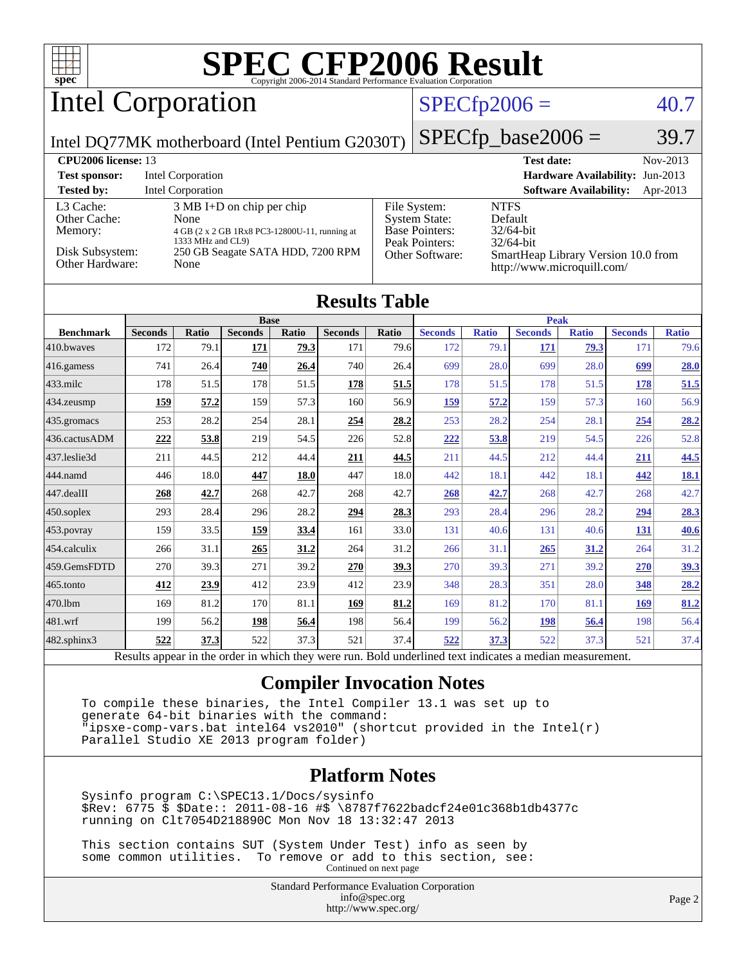Intel Corporation

### $SPECTp2006 = 40.7$

Intel DQ77MK motherboard (Intel Pentium G2030T)

| SPECfp base2006 $=$ | 39.7 |
|---------------------|------|

| <b>CPU2006 license: 13</b>           |                                                                                                                   |                                                                                 | <b>Test date:</b><br>Nov-2013                                     |
|--------------------------------------|-------------------------------------------------------------------------------------------------------------------|---------------------------------------------------------------------------------|-------------------------------------------------------------------|
| <b>Test sponsor:</b>                 | Intel Corporation                                                                                                 |                                                                                 | <b>Hardware Availability: Jun-2013</b>                            |
| <b>Tested by:</b>                    | Intel Corporation                                                                                                 |                                                                                 | <b>Software Availability:</b><br>Apr-2013                         |
| L3 Cache:<br>Other Cache:<br>Memory: | $3 \text{ MB I+D}$ on chip per chip<br>None<br>4 GB (2 x 2 GB 1Rx8 PC3-12800U-11, running at<br>1333 MHz and CL9) | File System:<br><b>System State:</b><br><b>Base Pointers:</b><br>Peak Pointers: | <b>NTFS</b><br>Default<br>$32/64$ -bit<br>$32/64$ -bit            |
| Disk Subsystem:<br>Other Hardware:   | 250 GB Seagate SATA HDD, 7200 RPM<br>None                                                                         | Other Software:                                                                 | SmartHeap Library Version 10.0 from<br>http://www.microquill.com/ |

| <b>Results Table</b> |  |
|----------------------|--|
|----------------------|--|

|                      | <b>Base</b>    |       |                |             |                | <b>Peak</b> |                |              |                |              |                |              |
|----------------------|----------------|-------|----------------|-------------|----------------|-------------|----------------|--------------|----------------|--------------|----------------|--------------|
| <b>Benchmark</b>     | <b>Seconds</b> | Ratio | <b>Seconds</b> | Ratio       | <b>Seconds</b> | Ratio       | <b>Seconds</b> | <b>Ratio</b> | <b>Seconds</b> | <b>Ratio</b> | <b>Seconds</b> | <b>Ratio</b> |
| $ 410$ .bwayes       | 172            | 79.1  | 171            | 79.3        | 171            | 79.6        | 172            | 79.1         | 171            | <b>79.3</b>  | 171            | 79.6         |
| 416.gamess           | 741            | 26.4  | 740            | 26.4        | 740            | 26.4        | 699            | 28.0         | 699            | 28.0         | 699            | 28.0         |
| $ 433 \text{.}$ milc | 178            | 51.5  | 178            | 51.5        | <u>178</u>     | 51.5        | 178            | 51.5         | 178            | 51.5         | 178            | 51.5         |
| 434.zeusmp           | 159            | 57.2  | 159            | 57.3        | 160            | 56.9        | 159            | 57.2         | 159            | 57.3         | 160            | 56.9         |
| $435$ .gromacs       | 253            | 28.2  | 254            | 28.1        | 254            | 28.2        | 253            | 28.2         | 254            | 28.1         | 254            | 28.2         |
| 436.cactusADM        | 222            | 53.8  | 219            | 54.5        | 226            | 52.8        | 222            | 53.8         | 219            | 54.5         | 226            | 52.8         |
| 437.leslie3d         | 211            | 44.5  | 212            | 44.4        | <b>211</b>     | 44.5        | 211            | 44.5         | 212            | 44.4         | <u>211</u>     | 44.5         |
| 444.namd             | 446            | 18.0  | 447            | <b>18.0</b> | 447            | 18.0        | 442            | 18.1         | 442            | 18.1         | 442            | <b>18.1</b>  |
| $447$ .dealII        | 268            | 42.7  | 268            | 42.7        | 268            | 42.7        | 268            | 42.7         | 268            | 42.7         | 268            | 42.7         |
| $450$ .soplex        | 293            | 28.4  | 296            | 28.2        | 294            | 28.3        | 293            | 28.4         | 296            | 28.2         | 294            | 28.3         |
| 453.povray           | 159            | 33.5  | 159            | 33.4        | 161            | 33.0        | 131            | 40.6         | 131            | 40.6         | <u>131</u>     | 40.6         |
| 454.calculix         | 266            | 31.1  | 265            | 31.2        | 264            | 31.2        | 266            | 31.1         | 265            | 31.2         | 264            | 31.2         |
| 459.GemsFDTD         | 270            | 39.3  | 271            | 39.2        | 270            | 39.3        | 270            | 39.3         | 271            | 39.2         | 270            | 39.3         |
| 465.tonto            | 412            | 23.9  | 412            | 23.9        | 412            | 23.9        | 348            | 28.3         | 351            | 28.0         | 348            | 28.2         |
| 470.lbm              | 169            | 81.2  | 170            | 81.1        | 169            | 81.2        | 169            | 81.2         | 170            | 81.1         | <b>169</b>     | 81.2         |
| $ 481$ .wrf          | 199            | 56.2  | 198            | 56.4        | 198            | 56.4        | 199            | 56.2         | 198            | 56.4         | 198            | 56.4         |
| $482$ .sphinx $3$    | 522            | 37.3  | 522            | 37.3        | 521            | 37.4        | 522            | 37.3         | 522            | 37.3         | 521            | 37.4         |

Results appear in the [order in which they were run.](http://www.spec.org/auto/cpu2006/Docs/result-fields.html#RunOrder) Bold underlined text [indicates a median measurement.](http://www.spec.org/auto/cpu2006/Docs/result-fields.html#Median)

#### **[Compiler Invocation Notes](http://www.spec.org/auto/cpu2006/Docs/result-fields.html#CompilerInvocationNotes)**

 To compile these binaries, the Intel Compiler 13.1 was set up to generate 64-bit binaries with the command: "ipsxe-comp-vars.bat intel64 vs2010" (shortcut provided in the Intel(r) Parallel Studio XE 2013 program folder)

#### **[Platform Notes](http://www.spec.org/auto/cpu2006/Docs/result-fields.html#PlatformNotes)**

 Sysinfo program C:\SPEC13.1/Docs/sysinfo \$Rev: 6775 \$ \$Date:: 2011-08-16 #\$ \8787f7622badcf24e01c368b1db4377c running on Clt7054D218890C Mon Nov 18 13:32:47 2013

 This section contains SUT (System Under Test) info as seen by some common utilities. To remove or add to this section, see: Continued on next page

> Standard Performance Evaluation Corporation [info@spec.org](mailto:info@spec.org) <http://www.spec.org/>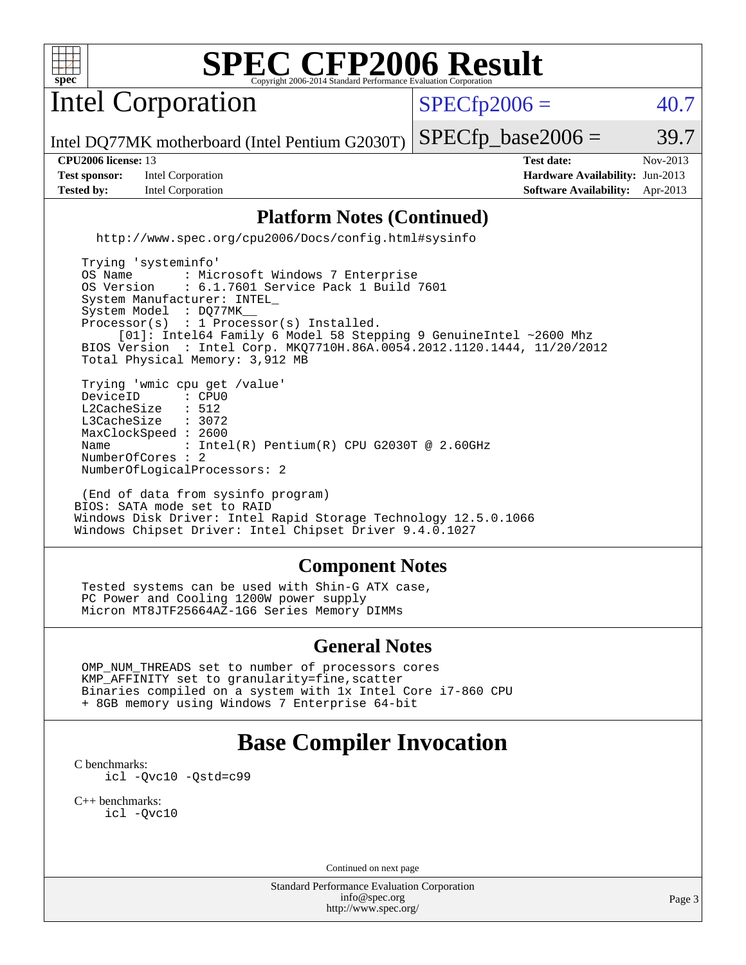

Intel Corporation

 $SPECTp2006 = 40.7$ 

Intel DQ77MK motherboard (Intel Pentium G2030T)

**[Test sponsor:](http://www.spec.org/auto/cpu2006/Docs/result-fields.html#Testsponsor)** Intel Corporation **[Hardware Availability:](http://www.spec.org/auto/cpu2006/Docs/result-fields.html#HardwareAvailability)** Jun-2013 **[Tested by:](http://www.spec.org/auto/cpu2006/Docs/result-fields.html#Testedby)** Intel Corporation **[Software Availability:](http://www.spec.org/auto/cpu2006/Docs/result-fields.html#SoftwareAvailability)** Apr-2013

**[CPU2006 license:](http://www.spec.org/auto/cpu2006/Docs/result-fields.html#CPU2006license)** 13 **[Test date:](http://www.spec.org/auto/cpu2006/Docs/result-fields.html#Testdate)** Nov-2013

 $SPECTp\_base2006 = 39.7$ 

#### **[Platform Notes \(Continued\)](http://www.spec.org/auto/cpu2006/Docs/result-fields.html#PlatformNotes)**

<http://www.spec.org/cpu2006/Docs/config.html#sysinfo>

 Trying 'systeminfo' OS Name : Microsoft Windows 7 Enterprise<br>OS Version : 6.1.7601 Service Pack 1 Build : 6.1.7601 Service Pack 1 Build 7601 System Manufacturer: INTEL\_ System Model : DQ77MK Processor(s) : 1 Processor(s) Installed. [01]: Intel64 Family 6 Model 58 Stepping 9 GenuineIntel ~2600 Mhz BIOS Version : Intel Corp. MKQ7710H.86A.0054.2012.1120.1444, 11/20/2012 Total Physical Memory: 3,912 MB Trying 'wmic cpu get /value' DeviceID : CPU<br>L2CacheSize : 512 L2CacheSize : 512<br>L3CacheSize : 3072 L3CacheSize MaxClockSpeed : 2600 Name : Intel(R) Pentium(R) CPU G2030T @ 2.60GHz NumberOfCores : 2 NumberOfLogicalProcessors: 2

 (End of data from sysinfo program) BIOS: SATA mode set to RAID Windows Disk Driver: Intel Rapid Storage Technology 12.5.0.1066 Windows Chipset Driver: Intel Chipset Driver 9.4.0.1027

#### **[Component Notes](http://www.spec.org/auto/cpu2006/Docs/result-fields.html#ComponentNotes)**

 Tested systems can be used with Shin-G ATX case, PC Power and Cooling 1200W power supply Micron MT8JTF25664AZ-1G6 Series Memory DIMMs

#### **[General Notes](http://www.spec.org/auto/cpu2006/Docs/result-fields.html#GeneralNotes)**

 OMP\_NUM\_THREADS set to number of processors cores KMP\_AFFINITY set to granularity=fine,scatter Binaries compiled on a system with 1x Intel Core i7-860 CPU + 8GB memory using Windows 7 Enterprise 64-bit

## **[Base Compiler Invocation](http://www.spec.org/auto/cpu2006/Docs/result-fields.html#BaseCompilerInvocation)**

[C benchmarks](http://www.spec.org/auto/cpu2006/Docs/result-fields.html#Cbenchmarks): [icl -Qvc10](http://www.spec.org/cpu2006/results/res2014q3/cpu2006-20140701-30157.flags.html#user_CCbase_intel_icc_vc10_9607f3ecbcdf68042245f068e51b40c1) [-Qstd=c99](http://www.spec.org/cpu2006/results/res2014q3/cpu2006-20140701-30157.flags.html#user_CCbase_intel_compiler_c99_mode_1a3d110e3041b3ad4466830521bdad2a)

[C++ benchmarks:](http://www.spec.org/auto/cpu2006/Docs/result-fields.html#CXXbenchmarks) [icl -Qvc10](http://www.spec.org/cpu2006/results/res2014q3/cpu2006-20140701-30157.flags.html#user_CXXbase_intel_icc_vc10_9607f3ecbcdf68042245f068e51b40c1)

Continued on next page

Standard Performance Evaluation Corporation [info@spec.org](mailto:info@spec.org) <http://www.spec.org/>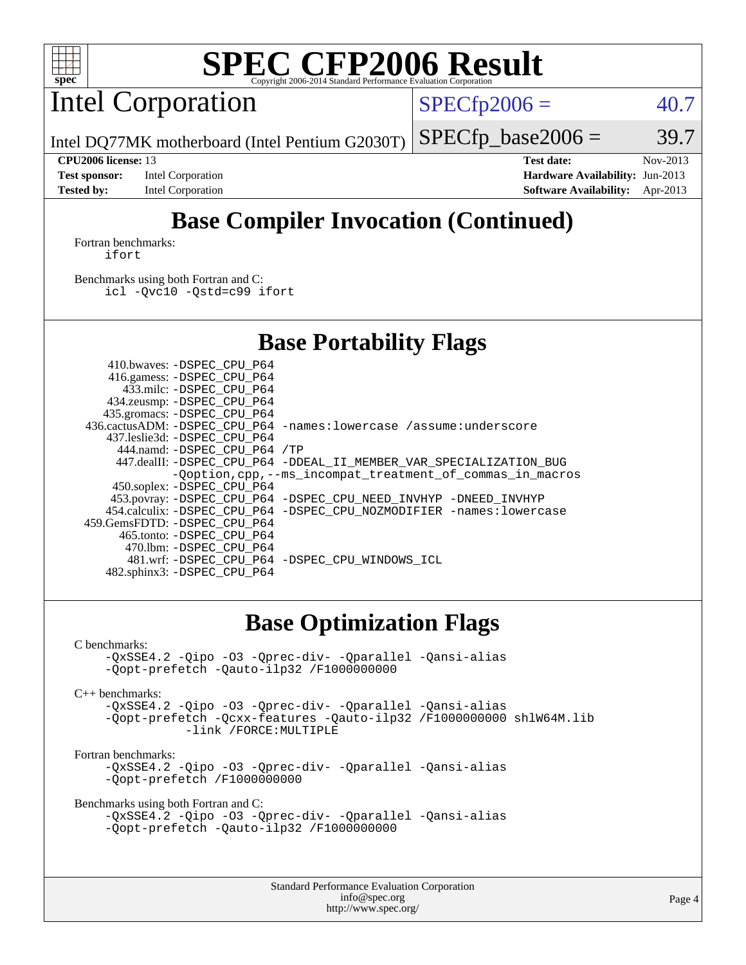

Intel Corporation

 $SPECTp2006 = 40.7$ 

Intel DQ77MK motherboard (Intel Pentium G2030T)

 $SPECTp\_base2006 = 39.7$ 

**[Test sponsor:](http://www.spec.org/auto/cpu2006/Docs/result-fields.html#Testsponsor)** Intel Corporation **[Hardware Availability:](http://www.spec.org/auto/cpu2006/Docs/result-fields.html#HardwareAvailability)** Jun-2013 **[Tested by:](http://www.spec.org/auto/cpu2006/Docs/result-fields.html#Testedby)** Intel Corporation **[Software Availability:](http://www.spec.org/auto/cpu2006/Docs/result-fields.html#SoftwareAvailability)** Apr-2013

**[CPU2006 license:](http://www.spec.org/auto/cpu2006/Docs/result-fields.html#CPU2006license)** 13 **[Test date:](http://www.spec.org/auto/cpu2006/Docs/result-fields.html#Testdate)** Nov-2013

# **[Base Compiler Invocation \(Continued\)](http://www.spec.org/auto/cpu2006/Docs/result-fields.html#BaseCompilerInvocation)**

[Fortran benchmarks](http://www.spec.org/auto/cpu2006/Docs/result-fields.html#Fortranbenchmarks): [ifort](http://www.spec.org/cpu2006/results/res2014q3/cpu2006-20140701-30157.flags.html#user_FCbase_intel_ifort_8a5e5e06b19a251bdeaf8fdab5d62f20)

[Benchmarks using both Fortran and C](http://www.spec.org/auto/cpu2006/Docs/result-fields.html#BenchmarksusingbothFortranandC): [icl -Qvc10](http://www.spec.org/cpu2006/results/res2014q3/cpu2006-20140701-30157.flags.html#user_CC_FCbase_intel_icc_vc10_9607f3ecbcdf68042245f068e51b40c1) [-Qstd=c99](http://www.spec.org/cpu2006/results/res2014q3/cpu2006-20140701-30157.flags.html#user_CC_FCbase_intel_compiler_c99_mode_1a3d110e3041b3ad4466830521bdad2a) [ifort](http://www.spec.org/cpu2006/results/res2014q3/cpu2006-20140701-30157.flags.html#user_CC_FCbase_intel_ifort_8a5e5e06b19a251bdeaf8fdab5d62f20)

## **[Base Portability Flags](http://www.spec.org/auto/cpu2006/Docs/result-fields.html#BasePortabilityFlags)**

| 410.bwaves: -DSPEC CPU P64   |                                                                          |
|------------------------------|--------------------------------------------------------------------------|
| 416.gamess: -DSPEC CPU P64   |                                                                          |
| 433.milc: -DSPEC CPU P64     |                                                                          |
| 434.zeusmp: -DSPEC_CPU_P64   |                                                                          |
| 435.gromacs: -DSPEC_CPU_P64  |                                                                          |
|                              | 436.cactusADM: -DSPEC CPU P64 -names: lowercase /assume: underscore      |
| 437.leslie3d: -DSPEC CPU P64 |                                                                          |
| 444.namd: -DSPEC CPU P64 /TP |                                                                          |
|                              | 447.dealII: -DSPEC_CPU_P64 -DDEAL_II_MEMBER_VAR_SPECIALIZATION_BUG       |
|                              | -Ooption, cpp, --ms incompat treatment of commas in macros               |
| 450.soplex: -DSPEC_CPU_P64   |                                                                          |
|                              | 453.povray: -DSPEC_CPU_P64 -DSPEC_CPU_NEED_INVHYP -DNEED_INVHYP          |
|                              | 454.calculix: - DSPEC CPU P64 - DSPEC CPU NOZMODIFIER - names: lowercase |
| 459.GemsFDTD: -DSPEC CPU P64 |                                                                          |
| 465.tonto: -DSPEC CPU P64    |                                                                          |
| 470.1bm: -DSPEC CPU P64      |                                                                          |
|                              | 481.wrf: - DSPEC CPU P64 - DSPEC CPU WINDOWS ICL                         |
| 482.sphinx3: -DSPEC CPU P64  |                                                                          |

### **[Base Optimization Flags](http://www.spec.org/auto/cpu2006/Docs/result-fields.html#BaseOptimizationFlags)**

[C benchmarks](http://www.spec.org/auto/cpu2006/Docs/result-fields.html#Cbenchmarks):

[-QxSSE4.2](http://www.spec.org/cpu2006/results/res2014q3/cpu2006-20140701-30157.flags.html#user_CCbase_f-QxSSE42_372695bbe211719895df0310b324a1ca) [-Qipo](http://www.spec.org/cpu2006/results/res2014q3/cpu2006-20140701-30157.flags.html#user_CCbase_f-Qipo) [-O3](http://www.spec.org/cpu2006/results/res2014q3/cpu2006-20140701-30157.flags.html#user_CCbase_f-O3) [-Qprec-div-](http://www.spec.org/cpu2006/results/res2014q3/cpu2006-20140701-30157.flags.html#user_CCbase_f-Qprec-div-) [-Qparallel](http://www.spec.org/cpu2006/results/res2014q3/cpu2006-20140701-30157.flags.html#user_CCbase_f-Qparallel) [-Qansi-alias](http://www.spec.org/cpu2006/results/res2014q3/cpu2006-20140701-30157.flags.html#user_CCbase_f-Qansi-alias) [-Qopt-prefetch](http://www.spec.org/cpu2006/results/res2014q3/cpu2006-20140701-30157.flags.html#user_CCbase_f-Qprefetch_37c211608666b9dff9380561f602f0a8) [-Qauto-ilp32](http://www.spec.org/cpu2006/results/res2014q3/cpu2006-20140701-30157.flags.html#user_CCbase_f-Qauto-ilp32) [/F1000000000](http://www.spec.org/cpu2006/results/res2014q3/cpu2006-20140701-30157.flags.html#user_CCbase_set_stack_space_25d7749c1988d91b7f93afbc0ec53727)

[C++ benchmarks:](http://www.spec.org/auto/cpu2006/Docs/result-fields.html#CXXbenchmarks)

[-QxSSE4.2](http://www.spec.org/cpu2006/results/res2014q3/cpu2006-20140701-30157.flags.html#user_CXXbase_f-QxSSE42_372695bbe211719895df0310b324a1ca) [-Qipo](http://www.spec.org/cpu2006/results/res2014q3/cpu2006-20140701-30157.flags.html#user_CXXbase_f-Qipo) [-O3](http://www.spec.org/cpu2006/results/res2014q3/cpu2006-20140701-30157.flags.html#user_CXXbase_f-O3) [-Qprec-div-](http://www.spec.org/cpu2006/results/res2014q3/cpu2006-20140701-30157.flags.html#user_CXXbase_f-Qprec-div-) [-Qparallel](http://www.spec.org/cpu2006/results/res2014q3/cpu2006-20140701-30157.flags.html#user_CXXbase_f-Qparallel) [-Qansi-alias](http://www.spec.org/cpu2006/results/res2014q3/cpu2006-20140701-30157.flags.html#user_CXXbase_f-Qansi-alias) [-Qopt-prefetch](http://www.spec.org/cpu2006/results/res2014q3/cpu2006-20140701-30157.flags.html#user_CXXbase_f-Qprefetch_37c211608666b9dff9380561f602f0a8) [-Qcxx-features](http://www.spec.org/cpu2006/results/res2014q3/cpu2006-20140701-30157.flags.html#user_CXXbase_f-Qcxx_features_dbf36c8a6dba956e22f1645e4dcd4d98) [-Qauto-ilp32](http://www.spec.org/cpu2006/results/res2014q3/cpu2006-20140701-30157.flags.html#user_CXXbase_f-Qauto-ilp32) [/F1000000000](http://www.spec.org/cpu2006/results/res2014q3/cpu2006-20140701-30157.flags.html#user_CXXbase_set_stack_space_25d7749c1988d91b7f93afbc0ec53727) [shlW64M.lib](http://www.spec.org/cpu2006/results/res2014q3/cpu2006-20140701-30157.flags.html#user_CXXbase_SmartHeap64_c4f7f76711bdf8c0633a5c1edf6e5396)  [-link /FORCE:MULTIPLE](http://www.spec.org/cpu2006/results/res2014q3/cpu2006-20140701-30157.flags.html#user_CXXbase_link_force_multiple2_070fe330869edf77077b841074b8b0b6)

[Fortran benchmarks](http://www.spec.org/auto/cpu2006/Docs/result-fields.html#Fortranbenchmarks):

[-QxSSE4.2](http://www.spec.org/cpu2006/results/res2014q3/cpu2006-20140701-30157.flags.html#user_FCbase_f-QxSSE42_372695bbe211719895df0310b324a1ca) [-Qipo](http://www.spec.org/cpu2006/results/res2014q3/cpu2006-20140701-30157.flags.html#user_FCbase_f-Qipo) [-O3](http://www.spec.org/cpu2006/results/res2014q3/cpu2006-20140701-30157.flags.html#user_FCbase_f-O3) [-Qprec-div-](http://www.spec.org/cpu2006/results/res2014q3/cpu2006-20140701-30157.flags.html#user_FCbase_f-Qprec-div-) [-Qparallel](http://www.spec.org/cpu2006/results/res2014q3/cpu2006-20140701-30157.flags.html#user_FCbase_f-Qparallel) [-Qansi-alias](http://www.spec.org/cpu2006/results/res2014q3/cpu2006-20140701-30157.flags.html#user_FCbase_f-Qansi-alias) [-Qopt-prefetch](http://www.spec.org/cpu2006/results/res2014q3/cpu2006-20140701-30157.flags.html#user_FCbase_f-Qprefetch_37c211608666b9dff9380561f602f0a8) [/F1000000000](http://www.spec.org/cpu2006/results/res2014q3/cpu2006-20140701-30157.flags.html#user_FCbase_set_stack_space_25d7749c1988d91b7f93afbc0ec53727)

[Benchmarks using both Fortran and C](http://www.spec.org/auto/cpu2006/Docs/result-fields.html#BenchmarksusingbothFortranandC):

```
-QxSSE4.2 -Qipo -O3 -Qprec-div- -Qparallel -Qansi-alias
-Qopt-prefetch -Qauto-ilp32 /F1000000000
```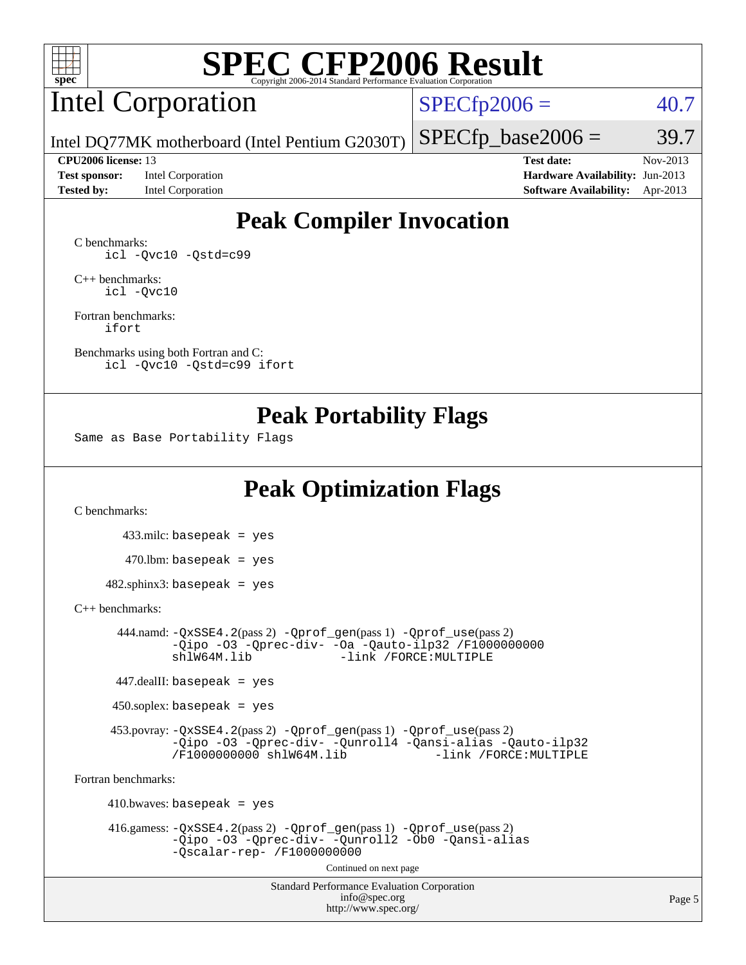

# Intel Corporation

 $SPECfp2006 = 40.7$  $SPECfp2006 = 40.7$ 

Intel DQ77MK motherboard (Intel Pentium G2030T)

**[Test sponsor:](http://www.spec.org/auto/cpu2006/Docs/result-fields.html#Testsponsor)** Intel Corporation **[Hardware Availability:](http://www.spec.org/auto/cpu2006/Docs/result-fields.html#HardwareAvailability)** Jun-2013

**[CPU2006 license:](http://www.spec.org/auto/cpu2006/Docs/result-fields.html#CPU2006license)** 13 **[Test date:](http://www.spec.org/auto/cpu2006/Docs/result-fields.html#Testdate)** Nov-2013 **[Tested by:](http://www.spec.org/auto/cpu2006/Docs/result-fields.html#Testedby)** Intel Corporation **[Software Availability:](http://www.spec.org/auto/cpu2006/Docs/result-fields.html#SoftwareAvailability)** Apr-2013

 $SPECTp\_base2006 = 39.7$ 

## **[Peak Compiler Invocation](http://www.spec.org/auto/cpu2006/Docs/result-fields.html#PeakCompilerInvocation)**

[C benchmarks](http://www.spec.org/auto/cpu2006/Docs/result-fields.html#Cbenchmarks): [icl -Qvc10](http://www.spec.org/cpu2006/results/res2014q3/cpu2006-20140701-30157.flags.html#user_CCpeak_intel_icc_vc10_9607f3ecbcdf68042245f068e51b40c1) [-Qstd=c99](http://www.spec.org/cpu2006/results/res2014q3/cpu2006-20140701-30157.flags.html#user_CCpeak_intel_compiler_c99_mode_1a3d110e3041b3ad4466830521bdad2a)

[C++ benchmarks:](http://www.spec.org/auto/cpu2006/Docs/result-fields.html#CXXbenchmarks) [icl -Qvc10](http://www.spec.org/cpu2006/results/res2014q3/cpu2006-20140701-30157.flags.html#user_CXXpeak_intel_icc_vc10_9607f3ecbcdf68042245f068e51b40c1)

[Fortran benchmarks](http://www.spec.org/auto/cpu2006/Docs/result-fields.html#Fortranbenchmarks): [ifort](http://www.spec.org/cpu2006/results/res2014q3/cpu2006-20140701-30157.flags.html#user_FCpeak_intel_ifort_8a5e5e06b19a251bdeaf8fdab5d62f20)

[Benchmarks using both Fortran and C](http://www.spec.org/auto/cpu2006/Docs/result-fields.html#BenchmarksusingbothFortranandC): [icl -Qvc10](http://www.spec.org/cpu2006/results/res2014q3/cpu2006-20140701-30157.flags.html#user_CC_FCpeak_intel_icc_vc10_9607f3ecbcdf68042245f068e51b40c1) [-Qstd=c99](http://www.spec.org/cpu2006/results/res2014q3/cpu2006-20140701-30157.flags.html#user_CC_FCpeak_intel_compiler_c99_mode_1a3d110e3041b3ad4466830521bdad2a) [ifort](http://www.spec.org/cpu2006/results/res2014q3/cpu2006-20140701-30157.flags.html#user_CC_FCpeak_intel_ifort_8a5e5e06b19a251bdeaf8fdab5d62f20)

### **[Peak Portability Flags](http://www.spec.org/auto/cpu2006/Docs/result-fields.html#PeakPortabilityFlags)**

Same as Base Portability Flags

## **[Peak Optimization Flags](http://www.spec.org/auto/cpu2006/Docs/result-fields.html#PeakOptimizationFlags)**

[C benchmarks](http://www.spec.org/auto/cpu2006/Docs/result-fields.html#Cbenchmarks):

 433.milc: basepeak = yes  $470.1$ bm: basepeak = yes  $482$ .sphinx3: basepeak = yes

#### [C++ benchmarks:](http://www.spec.org/auto/cpu2006/Docs/result-fields.html#CXXbenchmarks)

 444.namd: [-QxSSE4.2](http://www.spec.org/cpu2006/results/res2014q3/cpu2006-20140701-30157.flags.html#user_peakPASS2_CXXFLAGSPASS2_LDFLAGS444_namd_f-QxSSE42_372695bbe211719895df0310b324a1ca)(pass 2) [-Qprof\\_gen](http://www.spec.org/cpu2006/results/res2014q3/cpu2006-20140701-30157.flags.html#user_peakPASS1_CXXFLAGSPASS1_LDFLAGS444_namd_Qprof_gen)(pass 1) [-Qprof\\_use](http://www.spec.org/cpu2006/results/res2014q3/cpu2006-20140701-30157.flags.html#user_peakPASS2_CXXFLAGSPASS2_LDFLAGS444_namd_Qprof_use)(pass 2) [-Qipo](http://www.spec.org/cpu2006/results/res2014q3/cpu2006-20140701-30157.flags.html#user_peakOPTIMIZE444_namd_f-Qipo) [-O3](http://www.spec.org/cpu2006/results/res2014q3/cpu2006-20140701-30157.flags.html#user_peakOPTIMIZE444_namd_f-O3) [-Qprec-div-](http://www.spec.org/cpu2006/results/res2014q3/cpu2006-20140701-30157.flags.html#user_peakOPTIMIZE444_namd_f-Qprec-div-) [-Oa](http://www.spec.org/cpu2006/results/res2014q3/cpu2006-20140701-30157.flags.html#user_peakOPTIMIZE444_namd_f-Oa) [-Qauto-ilp32](http://www.spec.org/cpu2006/results/res2014q3/cpu2006-20140701-30157.flags.html#user_peakCXXOPTIMIZE444_namd_f-Qauto-ilp32) [/F1000000000](http://www.spec.org/cpu2006/results/res2014q3/cpu2006-20140701-30157.flags.html#user_peakEXTRA_LDFLAGS444_namd_set_stack_space_25d7749c1988d91b7f93afbc0ec53727) -link /FORCE: MULTIPLE

447.dealII: basepeak = yes

 $450$ .soplex: basepeak = yes

 453.povray: [-QxSSE4.2](http://www.spec.org/cpu2006/results/res2014q3/cpu2006-20140701-30157.flags.html#user_peakPASS2_CXXFLAGSPASS2_LDFLAGS453_povray_f-QxSSE42_372695bbe211719895df0310b324a1ca)(pass 2) [-Qprof\\_gen](http://www.spec.org/cpu2006/results/res2014q3/cpu2006-20140701-30157.flags.html#user_peakPASS1_CXXFLAGSPASS1_LDFLAGS453_povray_Qprof_gen)(pass 1) [-Qprof\\_use](http://www.spec.org/cpu2006/results/res2014q3/cpu2006-20140701-30157.flags.html#user_peakPASS2_CXXFLAGSPASS2_LDFLAGS453_povray_Qprof_use)(pass 2) [-Qipo](http://www.spec.org/cpu2006/results/res2014q3/cpu2006-20140701-30157.flags.html#user_peakOPTIMIZE453_povray_f-Qipo) [-O3](http://www.spec.org/cpu2006/results/res2014q3/cpu2006-20140701-30157.flags.html#user_peakOPTIMIZE453_povray_f-O3) [-Qprec-div-](http://www.spec.org/cpu2006/results/res2014q3/cpu2006-20140701-30157.flags.html#user_peakOPTIMIZE453_povray_f-Qprec-div-) [-Qunroll4](http://www.spec.org/cpu2006/results/res2014q3/cpu2006-20140701-30157.flags.html#user_peakOPTIMIZE453_povray_f-Qunroll_013b1c0ea3aa84ef2c65e488bcc3d968) [-Qansi-alias](http://www.spec.org/cpu2006/results/res2014q3/cpu2006-20140701-30157.flags.html#user_peakOPTIMIZE453_povray_f-Qansi-alias) [-Qauto-ilp32](http://www.spec.org/cpu2006/results/res2014q3/cpu2006-20140701-30157.flags.html#user_peakCXXOPTIMIZE453_povray_f-Qauto-ilp32) [/F1000000000](http://www.spec.org/cpu2006/results/res2014q3/cpu2006-20140701-30157.flags.html#user_peakEXTRA_LDFLAGS453_povray_set_stack_space_25d7749c1988d91b7f93afbc0ec53727) [shlW64M.lib](http://www.spec.org/cpu2006/results/res2014q3/cpu2006-20140701-30157.flags.html#user_peakEXTRA_LIBS453_povray_SmartHeap64_c4f7f76711bdf8c0633a5c1edf6e5396)

[Fortran benchmarks](http://www.spec.org/auto/cpu2006/Docs/result-fields.html#Fortranbenchmarks):

 $410.bwaves: basepeak = yes$  416.gamess: [-QxSSE4.2](http://www.spec.org/cpu2006/results/res2014q3/cpu2006-20140701-30157.flags.html#user_peakPASS2_FFLAGSPASS2_LDFLAGS416_gamess_f-QxSSE42_372695bbe211719895df0310b324a1ca)(pass 2) [-Qprof\\_gen](http://www.spec.org/cpu2006/results/res2014q3/cpu2006-20140701-30157.flags.html#user_peakPASS1_FFLAGSPASS1_LDFLAGS416_gamess_Qprof_gen)(pass 1) [-Qprof\\_use](http://www.spec.org/cpu2006/results/res2014q3/cpu2006-20140701-30157.flags.html#user_peakPASS2_FFLAGSPASS2_LDFLAGS416_gamess_Qprof_use)(pass 2) [-Qipo](http://www.spec.org/cpu2006/results/res2014q3/cpu2006-20140701-30157.flags.html#user_peakOPTIMIZE416_gamess_f-Qipo) [-O3](http://www.spec.org/cpu2006/results/res2014q3/cpu2006-20140701-30157.flags.html#user_peakOPTIMIZE416_gamess_f-O3) [-Qprec-div-](http://www.spec.org/cpu2006/results/res2014q3/cpu2006-20140701-30157.flags.html#user_peakOPTIMIZE416_gamess_f-Qprec-div-) [-Qunroll2](http://www.spec.org/cpu2006/results/res2014q3/cpu2006-20140701-30157.flags.html#user_peakOPTIMIZE416_gamess_f-Qunroll_1d9456aa650e77fc2a0cf43cef3fa08c) [-Ob0](http://www.spec.org/cpu2006/results/res2014q3/cpu2006-20140701-30157.flags.html#user_peakOPTIMIZE416_gamess_f-Ob_n_fbe6f6428adb7d4b74b1e99bb2444c2d) [-Qansi-alias](http://www.spec.org/cpu2006/results/res2014q3/cpu2006-20140701-30157.flags.html#user_peakOPTIMIZE416_gamess_f-Qansi-alias) [-Qscalar-rep-](http://www.spec.org/cpu2006/results/res2014q3/cpu2006-20140701-30157.flags.html#user_peakOPTIMIZE416_gamess_f-Qscalar-rep_02cb9e11a5340d80ab3062d84e5dfb2e) [/F1000000000](http://www.spec.org/cpu2006/results/res2014q3/cpu2006-20140701-30157.flags.html#user_peakEXTRA_LDFLAGS416_gamess_set_stack_space_25d7749c1988d91b7f93afbc0ec53727) Continued on next page

> Standard Performance Evaluation Corporation [info@spec.org](mailto:info@spec.org) <http://www.spec.org/>